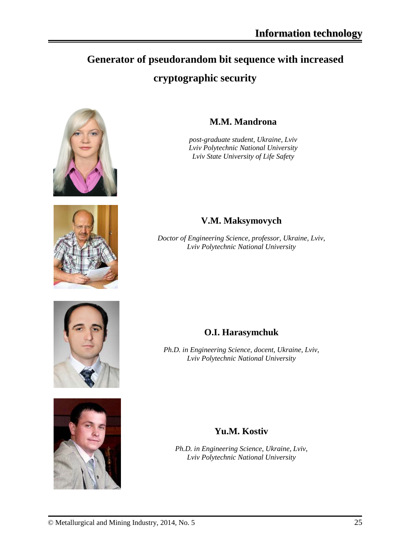# **Generator of pseudorandom bit sequence with increased cryptographic security**





## **M.M. Mandrona**

*post-graduate student, Ukraine, Lviv Lviv Polytechnic National University Lviv State University of Life Safety*

## **V.M. Maksymovych**

*Doctor of Engineering Science, professor, Ukraine, Lviv, Lviv Polytechnic National University*





## **O.I. Harasymchuk**

*Ph.D. in Engineering Science, docent, Ukraine, Lviv, Lviv Polytechnic National University*

### **Yu.M. Kostiv**

*Ph.D. in Engineering Science, Ukraine, Lviv, Lviv Polytechnic National University*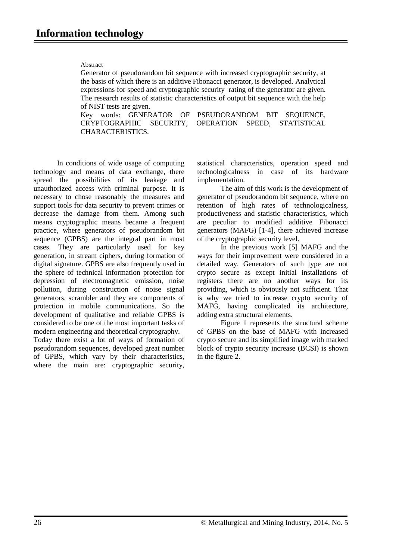#### Abstract

Generator of pseudorandom bit sequence with increased cryptographic security, at the basis of which there is an additive Fibonacci generator, is developed. Analytical expressions for speed and cryptographic security rating of the generator are given. The research results of statistic characteristics of output bit sequence with the help of NIST tests are given.

Key words: GENERATOR OF PSEUDORANDOM BIT SEQUENCE, CRYPTOGRAPHIC SECURITY, OPERATION SPEED, STATISTICAL CHARACTERISTICS.

In conditions of wide usage of computing technology and means of data exchange, there spread the possibilities of its leakage and unauthorized access with criminal purpose. It is necessary to chose reasonably the measures and support tools for data security to prevent crimes or decrease the damage from them. Among such means cryptographic means became a frequent practice, where generators of pseudorandom bit sequence (GPBS) are the integral part in most cases. They are particularly used for key generation, in stream ciphers, during formation of digital signature. GPBS are also frequently used in the sphere of technical information protection for depression of electromagnetic emission, noise pollution, during construction of noise signal generators, scrambler and they are components of protection in mobile communications. So the development of qualitative and reliable GPBS is considered to be one of the most important tasks of modern engineering and theoretical cryptography.

Today there exist a lot of ways of formation of pseudorandom sequences, developed great number of GPBS, which vary by their characteristics, where the main are: cryptographic security, statistical characteristics, operation speed and technologicalness in case of its hardware implementation.

The aim of this work is the development of generator of pseudorandom bit sequence, where on retention of high rates of technologicalness, productiveness and statistic characteristics, which are peculiar to modified additive Fibonacci generators (MAFG) [1-4], there achieved increase of the cryptographic security level.

In the previous work [5] MAFG and the ways for their improvement were considered in a detailed way. Generators of such type are not crypto secure as except initial installations of registers there are no another ways for its providing, which is obviously not sufficient. That is why we tried to increase crypto security of MAFG, having complicated its architecture, adding extra structural elements.

Figure 1 represents the structural scheme of GPBS on the base of MAFG with increased crypto secure and its simplified image with marked block of crypto security increase (BCSI) is shown in the figure 2.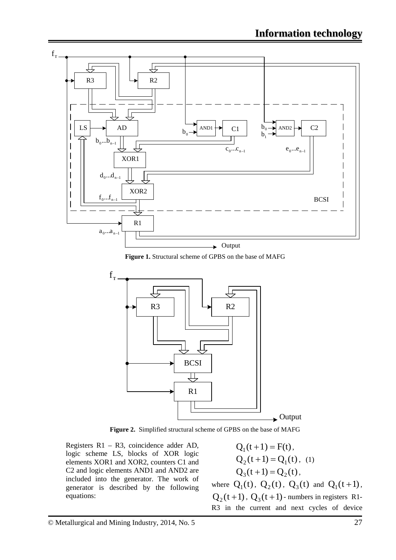

**Figure 1.** Structural scheme of GPBS on the base of MAFG



**Figure 2.** Simplified structural scheme of GPBS on the base of MAFG

Registers R1 – R3, coincidence adder AD, logic scheme LS, blocks of XOR logic elements XOR1 and XOR2, counters C1 and C2 and logic elements AND1 and AND2 are included into the generator. The work of generator is described by the following equations:

 $Q_1(t+1) = F(t)$ ,  $Q_2(t+1) = Q_1(t)$ , (1)  $Q_3(t+1) = Q_2(t)$ ,

where  $Q_1(t)$ ,  $Q_2(t)$ ,  $Q_3(t)$  and  $Q_1(t+1)$ ,  $Q_2(t+1)$ ,  $Q_3(t+1)$ - numbers in registers R1-R3 in the current and next cycles of device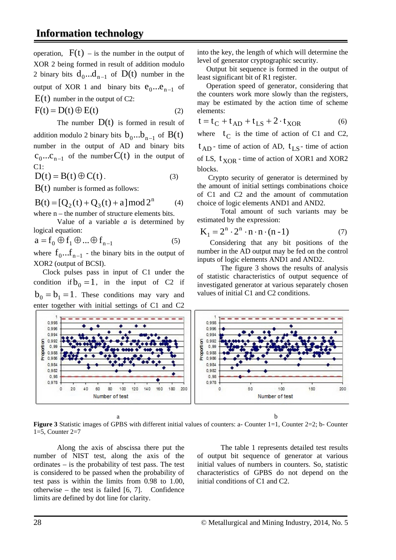operation,  $F(t)$  – is the number in the output of XOR 2 being formed in result of addition modulo 2 binary bits  $d_0...d_{n-1}$  of  $D(t)$  number in the output of XOR 1 and binary bits  $e_0...e_{n-1}$  of  $E(t)$  number in the output of C2:

$$
F(t) = D(t) \oplus E(t)
$$
 (2)

The number  $D(t)$  is formed in result of addition modulo 2 binary bits  $b_0...b_{n-1}$  of  $B(t)$ number in the output of AD and binary bits  $C_0...C_{n-1}$  of the number  $C(t)$  in the output of  $C1$ :

$$
D(t) = B(t) \oplus C(t).
$$
 (3)

 $B(t)$  number is formed as follows:

$$
B(t) = [Q2(t) + Q3(t) + a] mod 2n
$$
 (4)  
where n, the number of structure elements bits

where n – the number of structure elements bits. Value of a variable *a* is determined by

logical equation:  
\n
$$
a = f_0 \oplus f_1 \oplus ... \oplus f_{n-1}
$$
\n(5)

where  $f_0...f_{n-1}$  - the binary bits in the output of XOR2 (output of BCSI).

 Clock pulses pass in input of C1 under the condition if  $b_0 = 1$ , in the input of C2 if  $b_0 = b_1 = 1$ . These conditions may vary and enter together with initial settings of C1 and C2

into the key, the length of which will determine the level of generator cryptographic security.

 Output bit sequence is formed in the output of least significant bit of R1 register.

 Operation speed of generator, considering that the counters work more slowly than the registers, may be estimated by the action time of scheme elements:

$$
t = t_C + t_{AD} + t_{LS} + 2 \cdot t_{XOR}
$$
 (6)

where  $t_C$  is the time of action of C1 and C2,  $t_{AD}$  - time of action of AD,  $t_{LS}$  - time of action of LS,  $t_{XOR}$  - time of action of XOR1 and XOR2 blocks.

 Crypto security of generator is determined by the amount of initial settings combinations choice of C1 and C2 and the amount of commutation choice of logic elements AND1 and AND2.

Total amount of such variants may be estimated by the expression:

$$
K_1 = 2^n \cdot 2^n \cdot n \cdot n \cdot (n-1) \tag{7}
$$

 Considering that any bit positions of the number in the AD output may be fed on the control inputs of logic elements AND1 and AND2.

The figure 3 shows the results of analysis of statistic characteristics of output sequence of investigated generator at various separately chosen values of initial C1 and C2 conditions.



a b **Figure 3** Statistic images of GPBS with different initial values of counters: a- Counter 1=1, Counter 2=2; b- Counter 1=5, Counter 2=7

Along the axis of abscissa there put the number of NIST test, along the axis of the ordinates – is the probability of test pass. The test is considered to be passed when the probability of test pass is within the limits from 0.98 to 1.00, otherwise – the test is failed  $[6, 7]$ . Confidence limits are defined by dot line for clarity.

The table 1 represents detailed test results of output bit sequence of generator at various initial values of numbers in counters. So, statistic characteristics of GPBS do not depend on the initial conditions of C1 and C2.